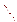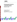

# **Environmental Technology Verification Program** Advanced Monitoring Systems Center

Test/QA Plan for Verification of Rapid PCR Technologies

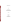# **TEST/QA PLAN**

**for** 

# **Verification of Rapid PCR Technologies**

**May 2004** 

**Prepared by** 

**Battelle 505 King Avenue Columbus, OH 43201-2693**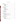# **TABLE OF CONTENTS**

| 4.1 Test Sample Collection, Preparation, and Storage<br>4.3.1 Drinking Water Characterization<br>4.3.2 Stock Solutions Confirmatory Methodologies |
|---------------------------------------------------------------------------------------------------------------------------------------------------|
| 5.2.4 False Positive/False Negative Responses                                                                                                     |
|                                                                                                                                                   |

#### Page

1.0 Introduction .............................................................. 1 1.1 Test Objective ...................................................... 1 1.2 Test Description .................................................... 1 1.3 Organization and Responsibility ........................................ 2 1.3.1 Battelle .................................................... 2 1.3.2 Vendors .................................................... 5 1.3.3 EPA ....................................................... 5 1.3.4 Supporting Organizations ...................................... 6

2.0 Verification Approach ..................................................... 7 2.1 Scope of Testing .................................................... 7 2.2 Experimental Design ................................................. 8 2.3 Test Samples ...................................................... 10 2.3.1 PT Samples ................................................. 10 2.3.2 Drinking Water Samples ....................................... 12 . . . . . . . . . . . 13 2.3.4 Field Portability Samples ...................................... 14 2.4 Reference Method ................................................... 14

3.0 Materials and Equipment ................................................... 15 3.1 Testing Supplies .................................................... 15 3.2 Field Analysis Supplies .............................................. 15 3.3 Special Facilities .................................................... 15

. . . . . . . . . . . 17 4.1 Test Sample Collection, Preparation, and Storage .......................... 17 4.2 Sample Identification ................................................ 17 4.3 Sample Analysis ................................................... 18 4.3.1 Drinking Water Characterization ................................ 18  $\ldots \ldots \ldots$  . 19 . . . . . . . . . . . 19 4.5 Schedule .......................................................... 19

 $\ldots \ldots \ldots \ldots 20$ 5.1 Data Acquisition and Review .......................................... 20 5.2 Data Analysis ...................................................... 21 . . . . . . . . . . . 21 5.2.2 Precision ................................................... 22 5.2.3 Specificity .................................................. 22 5.2.4 False Positive/False Negative Responses .......................... 22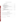# **TABLE OF CONTENTS (CONTINUED)**

# **LIST OF TABLES**

| Table 2. Summary of Test Samples for Rapid PCR Technology Verification 11 |  |
|---------------------------------------------------------------------------|--|
|                                                                           |  |
|                                                                           |  |

# **LIST OF FIGURES**

|--|--|--|--|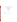# **ETV ADVANCED MONITORING SYSTEMS CENTER**

Test/QA Plan for Verification of Rapid PCR Technologies

Version 1.0

May 2004

APPROVAL:

Name \_\_\_\_\_\_\_\_\_\_\_\_\_\_\_\_\_\_\_\_\_\_\_\_\_\_\_\_\_\_\_\_\_\_

Company \_\_\_\_\_\_\_\_\_\_\_\_\_\_\_\_\_\_\_\_\_\_\_\_\_\_\_\_\_\_\_

Date \_\_\_\_\_\_\_\_\_\_\_\_\_\_\_\_\_\_\_\_\_\_\_\_\_\_\_\_\_\_\_\_\_\_\_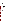#### **DISTRIBUTION LIST**

Matt Scullion Technical Sales Associate Idaho Technology Inc. 390 Wakara Way Salt Lake City, UT 84108

Jonas E. Ruiz, M.B.A. Senior Product Specialist Molecular Microbiology Group Applied Biosystems 850 Lincoln Centre Drive Foster City, CA 94404

Willem Folkerts Associate Director, Biodefense Invitrogen 7335 Executive Way Frederick, MD 21704

Elizabeth A. Betz U.S. Environmental Protection Agency-**HEASD** National Exposure Research Laboratory E205-01 EPA Mailroom Research Triangle Park, NC 27711

Robert Fuerst U.S. Environmental Protection Agency-HEASD National Exposure Research Laboratory D205-05 EPA Mailroom Research Triangle Park, NC 27711

Karen Riggs Amy Dindal Stephanie Buehler Zachary Willenberg Battelle 505 King Ave. Columbus, OH 43201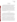#### **1.0 INTRODUCTION**

#### **1.1 Test Objective**

This test/quality assurance (QA) plan provides procedures for a performance verification test of rapid polymerase chain reaction (PCR) technologies for the analysis of biological agents and pathogens in drinking and distilled water, under a specific set of test conditions. The verification test will be conducted under the auspices of the U.S. Environmental Protection Agency (EPA) through the Environmental Technology Verification (ETV) Program. The purpose of ETV is to provide objective and quality-assured performance data on environmental technologies so that users, developers, regulators, and consultants can make informed decisions about purchasing and applying these technologies. ETV verification does not imply approval, certification, or designation by EPA or Battelle, but rather a quantitative assessment of the performance of a technology under specified test conditions. The objective of this verification test of rapid PCR technologies is to evaluate their ability to rapidly detect specific biological agents and pathogens that are particularly toxic to humans and their susceptibility to interferents in several drinking water matrices.

#### **1.2 Test Description**

The verification test will be performed by Battelle, which is managing the ETV Advanced Monitoring Systems (AMS) Center through a cooperative agreement with EPA. The scope of the AMS Center covers verification of monitoring technologies for contaminants and natural species in air, water, and soil. In performing the verification test, Battelle will follow the procedures specified in this test/QA plan and will comply with the data quality requirements in the "Quality Management Plan for the ETV Advanced Monitoring Systems Center" (AMS  $QMP)^{1}$ .

Rapid PCR technologies are based on polymerase chain reactions combined with realtime detection capabilities. These technologies can be both lab-based (e.g., weighing over 75 lbs. and measuring 20 in. x 21 in. x 15 in.) and field portable (e.g., weighing 50 lbs. and measuring 19 in. x 14 in. x 10 in.). The PCR process involves enzyme-mediated reactions which allow for target DNA replication and amplification through a series of temperature cycles. Each series of temperature cycles, which can consist of up to 30 or more cycles, constitutes a run on a given rapid PCR technology. Depending on the design of the technology, multiple samples can be measured in one PCR run. For most rapid PCR technologies, reactions are monitored in realtime during the PCR process through the use of hybridization probes and DNA-specific dyes in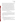combination with fluorescence detection. Other rapid PCR technologies can involve separate detection devices that offer quick turnaround times over conventional techniques. Results from these methods can be qualitative or quantitative. Because rapid PCR technologies are anticipated to serve mostly as screening tools in water monitoring scenarios, providing rapid results as to whether or not a pathogen or biological agent is present in the water, only qualitative results from rapid PCR technologies will be considered for this test. Quantitative PCR testing often involves more extensive user participation and takes longer to conduct.

This test will determine the accuracy, specificity, precision, and false positive and negative rates of rapid PCR technologies in detecting selected biological agents and pathogens in American Society of Testing and Materials (ASTM) Type II deionized (DI) water, in the presence of possible interferents added to ASTM Type II DI water, and in drinking water obtained from a variety of geographically dispersed U.S. water utilities that use various water treatment processes. Qualitative characteristics of each rapid PCR technology, such as ease of use, sample throughput, and cost, will also be assessed and reported. While most of the testing will occur in a laboratory, the rapid PCR technologies that are designed for field use will be tested outside of the laboratory by an experienced operator.

#### **1.3 Organization and Responsibility**

The verification test will be performed by Battelle, with the participation of the vendors who will be having the performance of their rapid PCR technologies verified. The testing will occur at Battelle's West Jefferson and Columbus, Ohio laboratories and at a non-laboratory (i.e., field) location in the Columbus, Ohio, area. The organization chart in Figure 1 identifies the responsibilities of the organizations and individuals associated with the verification test. Roles and responsibilities are defined further below.

## **1.3.1 Battelle**

Dr. Stephanie Buehler is the AMS Center Verification Test Coordinator. In this role, Dr. Buehler will have overall responsibility for ensuring that the technical, schedule, and cost goals established for the verification test are met. Specifically, she will

- C Assemble a team of qualified technical staff to conduct the verification test.
- C Direct the team performing the verification test in accordance with the test/QA plan.
- C Ensure that all quality procedures specified in the test/QA plan and in the AMS QMP are followed.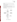- C Prepare the draft and final test/QA plan, verification reports, and verification statements.
- C Revise the draft test/QA plan, verification reports, and verification statements in response to reviewers' comments.
- C Respond to any issues raised in assessment reports and audits, including instituting corrective action as necessary.
- C Serve as the primary point of contact for vendor representatives.
- C Coordinate distribution of the final test/QA plan, verification reports, and statements.
- C Establish a budget for the verification test and monitor staff effort to ensure that the budget is not exceeded.
- C Ensure that confidentiality of vendor information is maintained.



**Figure 1. Organization Chart**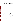Ms. Amy Dindal is a Verification Testing Leader for the AMS Center. Ms. Dindal will provide technical guidance and oversee the various stages of verification testing. She will

- C Support Dr. Buehler in preparing the test/QA plan and organizing the testing.
- C Review the draft and final test/QA plan.
- C Review the draft and final verification reports and verification statements.
- C Support Dr. Buehler in responding to any issues raised in assessment reports and audits.

Ms. Karen Riggs is Battelle's manager for the AMS Center. Ms. Riggs will

- C Review the draft and final test/QA plan.
- C Review the draft and final verification reports and verification statements.
- C Ensure that necessary Battelle resources, including staff and facilities, are committed to the verification test.
- C Ensure that vendor confidentiality is maintained.
- C Support Dr. Buehler in responding to any issues raised in assessment reports and audits.
- C Maintain communication with EPA's technical and quality managers.
- C Facilitate a stop work order if Battelle or EPA QA staff discovers adverse findings that will compromise test results.

Battelle Technical Staff will conduct the testing of the rapid PCR technologies during the verification test. The responsibilities of the technical staff will be to

- C Assist in the collection, receipt, and storage of drinking water samples.
- C Prepare drinking water samples, as required for analysis.
- C Prepare the stock solutions and the test samples as required.
- C Perform plate enumeration to confirm concentrations of stock solutions.
- C Perform the rapid PCR technology analyses by following the vendor's protocol.
- C Make qualitative observations about the operation of the rapid PCR technology.

Mr. Zachary Willenberg is Battelle's Quality Manager for the AMS Center.

Mr.Willenberg will

- C Review the draft and final test/QA plan.
- C Conduct a technical systems audit once during the verification test, or designate another QA manager to conduct the audit.
- C Audit at least 10% of the verification data.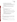- C Prepare and distribute an assessment report for each audit.
- C Verify implementation of any necessary corrective actions.
- C Issue a stop work order if self audits indicate that data quality is being compromised; notify Battelle's AMS Center Manager if a stop work order is issued.
- C Provide a summary of the QA/ quality control (QC) activities and results for the verification reports.
- C Review the draft and final verification reports and verification statements.
- C Assume overall responsibility for ensuring that the test/QA plan is followed.

# **1.3.2 Vendors**

The responsibilities of the vendor representatives are as follows:

- C Review the draft test/QA plan.
- C Approve the test/QA plan prior to test initiation.
- C Provide off-the-shelf rapid PCR technologies for analysis of all verification test samples.
- C Provide all other equipment and consumables needed to complete the PCR analyses on all water samples, including any necessary extraction or purification consumables and/or equipment.
- C As desired, provide training to Battelle personnel on operating the rapid PCR technologies and associated equipment prior to testing.
- C Provide written instructions for operation of the technology.
- Review the draft verification report and statement.

# **1.3.3 EPA**

EPA's responsibilities in the AMS Center are based on the requirements stated in the "Environmental Technology Verification Program Quality Management Plan" (EPA QMP)<sup>2</sup>. The roles of the specific EPA staff are as follows:

Ms. Elizabeth Betz is EPA's AMS Center Quality Manager. For the verification test, Ms.Betz will

- C Review the draft test/QA plan.
- C Perform at her option one external technical system audit during the verification test.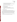- C Notify the EPA AMS Center Manager of the need for a stop work order if external audit indicates that data quality is being compromised.
- C Prepare and distribute an assessment report summarizing results of external audit.
- C Review draft verification reports and statements.

Mr. Robert Fuerst is EPA's manager for the AMS Center. Mr. Fuerst will

- C Review the draft test/QA plan.
- C Approve the final test/QA plan.
- C Review the draft verification reports and statements.
- C Oversee the EPA review process for the verification reports and statements.
- C Coordinate the submission of verification reports and statements for final EPA approval.

# **1.3.4 Supporting Organizations**

Physio-chemical characterization including turbidity, organic carbon, specific conductivity, alkalinity, pH, hardness, total organic halides, trihalomethanes and haloacetic acids (Table 3) have been performed for all drinking water samples. Spiked concentrations of humic and fulvic acids in ASTM Type II DI water will also be confirmed. Battelle has established a subcontract with Aqua Tech Environmental Laboratories, Inc. (hereafter called subcontract laboratory) to perform the physio-chemical analyses and humic and fulvic acid concentration confirmations.

The Metropolitan Water District of Southern California has concentrated each drinking water sample by a factor of 400 using ultrafiltration concentration techniques.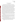#### **2.0 VERIFICATION APPROACH**

#### **2.1 Scope of Testing**

This test/QA plan specifically addresses verification of rapid PCR technologies that provide measurements of *Bacillus anthracis* (anthrax), *Escherichia coli* O157:H7 (*E. coli*), *Francisella tularensis* (*F. tularensis*) LVS (ATCC# 29684), *Brucella suis* (ATCC#23444) and/or *Yersinia pestis* CO92 (plague) in drinking water. The contaminants were selected based on the capabilities of the technologies being tested and the availability of the pathogens and biothreat agents. The rapid PCR technologies participating in this test will be evaluated on qualitative results, indicating only the presence or absence of the contaminants within a specified concentration interval. Each rapid PCR technology will be tested only for contaminants for which they are designed to detect, as specified by the vendor. The performance of the rapid PCR technologies will be verified by subjecting each to various concentration levels of individual contaminants in ASTM Type II DI water, a single concentration of contaminant in the presence of possible interferents (i.e., fulvic and humic acids) spiked into ASTM Type II DI water, and a single concentration of each contaminant spiked into drinking water samples obtained from four water utilities from different geographical locations in the United States. Each source of drinking water will represent a unique water treatment process. Also, both the possible interferent samples and the drinking water matrices will be analyzed without the addition of any contaminant to evaluate the potential for false positive results. The performance of each rapid PCR technology will be evaluated based on the parameters outlined below, with confirmation of solutions spiked with known concentrations of contaminants by available reference methods (i.e., plate enumeration).

The rapid PCR technologies are designed to be operated by users with technical training. Therefore, for this verification test, experienced operators, i.e., operators that have previous experience using PCR technologies, that have been trained by the vendor in the operation of the PCR technologies, will analyze the test samples on the technology. For those technologies which are designed to be field portable, an experienced operator trained by the vendor will also perform tests outside of the laboratory environment.

A variety of natural and contaminant-fortified water samples (i.e., unspiked and spiked) will be analyzed using the rapid PCR technologies. These matrices are examples of drinking water types that could be monitored using rapid PCR technologies; however, this is not intended to be an exhaustive study or to represent all possible water types that could be tested.

The rapid PCR technologies will be evaluated for the following parameters:

**Accuracy**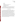- Specificity
- Precision
- Matrix effects
- Occurrence of false positive and false negative results
- Field portability by experienced operator
- Ease of use by experienced operator
- Sample throughput.

The PCR technologies will not be evaluated for method detection limits (MDL) because only the qualitative aspects of each technology will be evaluated in this verification test. However, the lowest concentration performance test sample to produce consistently positive results will be reported to help end users better understand the sensitivity of the technologies.

#### **2.2 Experimental Design**

This verification test will determine the performance capabilities of rapid PCR technologies to detect individual contaminants in three types of samples—performance test (PT), drinking water (DW), and quality control (QC). PT samples will include samples prepared in ASTM Type II DI water, including contaminant PT samples and interferent PT samples. The contaminant PT samples will be fortified with each individual contaminants at five concentrations. Concentrations will include the infective/lethal dose concentration given in Table 1 for each contaminant and approximately 2, 5, 10, and 50 times the vendor reported limit of detection (LOD) for each technology. The infective/lethal dose of each contaminant was determined by calculating the concentration at which 250 mL of water is likely to cause the death of a 70-kg person based on human LD50 or ID50 data<sup>3</sup>. The results from quadruplicate analysis of the contaminant PT samples and comparison with the known concentrations will provide information on the accuracy and precision of the rapid PCR technologies. The interferent PT samples will consist of humic and fulvic acid at two concentrations, both spiked and unspiked with each contaminant, each analyzed in quadruplicate.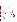#### **Table 1. Infective/Lethal Dose of Target Contaminants**

| <b>Contaminant (common</b>          | <b>Infective/Lethal Dose</b> |
|-------------------------------------|------------------------------|
| name)                               | Concentration                |
| <i>Bacillus anthracis</i> (anthrax) | $200,000$ spores/L           |
| Yersinia pestis (Plague)            | 280 organisms/L              |
| Francisella tularensis (F.          |                              |
| <i>tularensis</i> )                 | $4 \times 10^8$ organisms/L  |
| Brucella suis                       | 40,000 organisms/L           |
| Escherichia coli O157:H7 (E.        |                              |
| coli)                               | 200 bacteria/L               |

DW samples have been collected from four water systems that get water from various sources and employ different treatment processes. The DW samples disinfected by chlorination were obtained from surface (filtered and unfiltered) and groundwater sources. A DW sample from a surface water source disinfected by chloramination was also collected. These same water samples were concentrated by a factor of 400 at the Metropolitan Water District of Southern California using their ultrafiltration concentration system. Each of these water samples will be analyzed in quadruplicate, both unspiked and spiked with each contaminant at a single concentration level approximately 10 times greater than the LOD of each rapid PCR technology.

QC samples will include method blanks consisting of unspiked ASTM Type II DI water, as well as vendor-provided positive and negative controls or internal controls. Positive, negative, and/or internal control samples will be run with each PCR run, per the vendor instructions, and will be used as a quality check to ensure the rapid PCR technology's performance. If controls are not provided by the vendor, positive control samples will be prepared in ASTM Type II DI water with a known concentration of a toxin specified by the vendor and will be used as a quality check to ensure the PCR technology performance. The number and frequency of QC samples will vary with each rapid PCR technology, but 10% of all samples will be method blanks and at least 1 positive and 1 negative control will be part of every batch of samples run on each PCR technology.

Performance parameters, such as ease of use and reliability, will be based on documented observations of the operators and by the Verification Test Coordinator. Sample throughput will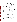be estimated based on the time required to analyze a sample set. All rapid PCR technologies will be tested in the laboratory; while applicable field-portable rapid PCR technologies will be analyzed for their performance and ease of use outside of the laboratory. Because many of the contaminants of interest cannot be safely handled outside of special facilities, the samples analyzed in the field will include method blank samples and non-toxic positive and negative control samples as provided by the vendor. An experienced operator will perform analyses in the field, which will also include evaluations of ease of use while dressed in personal protective equipment (PPE) (i.e., Level C PPE consisting of a splash suit and a filter-type respirator).

Given the agent facility restrictions, vendors will not be able to operate their rapid PCR technologies during this verification test. Each rapid PCR technology will be operated by a Battelle staff member and tested independently. All operators will have experience with and knowledge of PCR technologies in general. The vendor will train the operators by means of a visit to Battelle or a conference call prior to starting the verification test and then will be asked to sign a consent form stating the names of the Battelle staff they have trained. Each operator will manipulate the water samples and reagents to generate solutions that can be analyzed by the rapid PCR technologies. More than one operator may be used by Battelle, but operators will be restricted to only operating rapid PCR technologies on which they have been trained. Because of the potential time requirements for this test, more than one operator may be assigned to each participating technology for the duration of the test.

#### **2.3 Test Samples**

Test samples to be used in this verification test will include PT samples, DW samples, and QC samples. Table 2 lists the number and type of each sample to be analyzed for each contaminant in the verification test. Each type of test sample is described further below.

#### **2.3.1 PT Samples**

PT sample types (listed in Table 2) will be prepared in ASTM Type II DI water. The first type of PT sample will consist of ASTM Type II DI water spiked at five concentration levels of each individual contaminant. The contaminant PT sample concentrations will range from the infective/lethal dose concentration to 50 times the vendor-stated LOD. The infective/lethal dose concentration will be analyzed to document the response of each technology at that important concentration level. Four concentration levels in addition to the infective/lethal dose concentration will be analyzed by each technology. Those concentration levels will be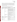approximately 2, 5, 10, and 50 times the LOD of each individual technology. The maximum and minimum concentrations may be limited by the available standards. The PT samples will be prepared for each rapid PCR technology based on the vendor-defined LOD such that samples used for a particular technology contain 2, 5, 10, or 50 times the LOD of that technology. Each concentration level for the PT samples will be analyzed in quadruplicate using the appropriate rapid PCR technology for that sample.

| <b>Performance Test</b><br>(PT) | <b>Performance Factor</b> | <b>Sample Description</b><br><b>Reps</b>                                                              |                |
|---------------------------------|---------------------------|-------------------------------------------------------------------------------------------------------|----------------|
| <b>ASTM Type II DI</b>          | Accuracy, Specificity and | Contaminant PT sample @ infective/lethal dose                                                         |                |
| Water                           | Precision                 | Contaminant PT sample $(a)$ 2 times the LOD <sup>(a)</sup>                                            |                |
|                                 |                           | Contaminant PT sample $@$ 5 times the LOD                                                             |                |
|                                 |                           | Contaminant PT sample $(a)$ 10 times the LOD                                                          |                |
|                                 |                           | Contaminant PT sample $\omega$ 50 times the LOD                                                       |                |
|                                 | Interferent               | Fulvic and humic acids $@$ a total concentration of 1<br>mg/L                                         | $\overline{4}$ |
|                                 |                           | Fulvic and humic acids $\omega$ a total concentration of 1<br>mg/L + contaminant $@$ 10 times the LOD |                |
|                                 |                           | Fulvic and humic acids $\omega$ 5 mg/L                                                                |                |
|                                 |                           | Fulvic and humic acids $\omega$ 5 mg/L + contaminant<br>$(a)$ 10 times the LOD                        |                |
| Ease of Use, Field              |                           | Analysis of method blank in level C suit                                                              | $\overline{3}$ |
|                                 | Portability               | Analysis of unspiked, unconcentrated DW in level<br>C suit                                            | 3              |
|                                 |                           | Analysis of method blank not in suit                                                                  |                |
| <b>Drinking Water</b><br>(DW)   | <b>Performance Factor</b> | <b>Sample Description</b>                                                                             |                |
| Filtered chlorinated            | Matrix Effect             | Concentrated unspiked                                                                                 |                |
| surface water                   |                           | Concentrated and spiked with contaminant $(a)$ 10<br>times the LOD                                    |                |
| Unfiltered                      |                           | Concentrated unspiked                                                                                 |                |
| chlorinated surface<br>water    |                           | Concentrated and spiked with contaminant $@10$<br>times the LOD                                       |                |

| Table 2. Summary of Test Samples for Rapid PCR Technology Verification |  |  |  |
|------------------------------------------------------------------------|--|--|--|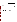| Filtered chlorinated           |                                                     | Concentrated unspiked                                              | 4              |
|--------------------------------|-----------------------------------------------------|--------------------------------------------------------------------|----------------|
| groundwater                    |                                                     | Concentrated and spiked with contaminant $(a)$ 10<br>times the LOD | 4              |
| Filtered                       |                                                     | Concentrated unspiked                                              | $\overline{4}$ |
| chloraminated<br>surface water |                                                     | Concentrated and spiked with contaminant $(a)$ 10<br>times the LOD | 4              |
| <b>Quality Control</b><br>(QC) | <b>Performance Factor</b>                           | <b>Sample description</b>                                          | <b>Reps</b>    |
| Method Blank                   | <b>Quality Check</b>                                | DI water - 10% of all samples                                      | 8              |
| <b>Positive Control</b>        | <b>Quality Check</b>                                | Provided by vendor - at least 1 on every PCR run                   | $Var^{(b)}$    |
| Negative Control               | <b>Quality Check</b>                                | Provided by vendor - at least 1 on every PCR run                   | $Var^{(b)}$    |
|                                |                                                     |                                                                    |                |
|                                | Approximate total number of samples per contaminant |                                                                    | 85             |

(a) LOD in all cases is limit of detection provided by the vendor for their rapid PCR technology.

(b) Number of positive and negative controls will vary based on the number of samples that can be analyzed by the PCR technology in each run.

The second type of PT sample will be potential interferent samples. Because it is anticipated that humic and fulvic acids will be major interferents in real-world uses of rapid PCR technologies for water monitoring, four replicates of each interferent PT sample will be analyzed to determine each rapid PCR technology's susceptibility to these commonly found interferents in DW. The interferent PT samples will contain humic and fulvic acids obtained from the International Humic Substances Society spiked into ASTM Type II DI water. Each of these interferent mixtures will be prepared at two different concentration levels. One concentration will be near the upper limit of what would be expected in drinking water (5 mg/L) and one concentration at a mid-low range of what would be expected (1 mg/L). These spiked interferent levels will be confirmed through analysis of aliquots by the subcontract laboratory. Also, each contaminant will be added to these samples along with the potential interferent, at a concentration of 10 times the LOD, and analyzed in quadruplicate.

## **2.3.2 Drinking Water Samples**

Drinking water samples were collected from four geographically distributed municipal sources (Ohio, New York, California, and Florida) to evaluate the performance of the rapid PCR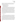technologies with various sample matrices. These samples vary in their source and treatment and disinfection process. All samples have undergone either chlorination or chloramination disinfection prior to receipt. Samples were collected from water utility systems with the following treatment and source characteristics:

- C Chlorinated filtered surface water source
- C Chlorinated unfiltered surface water source
- C Chlorinated filtered groundwater source
- C Chloraminated filtered surface water

All samples were collected in pre-cleaned high density polyethylyne (HDPE) containers. After sample collection, to characterize the DW matrix, an aliquot of each DW sample was sent to a subcontract laboratory to determine the following water quality parameters: concentration of trihalomethanes, haloacetic acids, total organic halides, calcium, magnesium, pH, conductivity, alkalinity, turbidity, organic carbon, and hardness. The DW samples were dechlorinated upon arrival to the Metropolitan Water District of Southern California with sodium thiosulfate pentahydrate to prevent the degradation of some of the contaminants by chlorine. Because realworld applications of PCR technologies to screen water samples rely on pre-concentration of the water sample to be analyzed, approximately 100 L of each of the above sources of DW were dechlorinated and then concentrated through ultrafiltration techniques to a final volume of 250 mL. As shown in Table 2, each DW sample will be analyzed without adding any contaminant, as well as after fortification with each individual contaminant at a single concentration level (10 times the vendor-stated LOD).

#### **2.3.3 QC Samples**

QC samples will include method blank (MB) samples consisting of ASTM Type II DI water, and positive and negative controls, as provided by the vendor. All of the MB QC samples will be exposed to identical sample preparation and analysis procedures as the test samples. Positive and negative controls will be prepared and used according to protocol provided by the vendor. The MB samples will be used to ensure that no sources of contamination are introduced in the sample handling and analysis procedures. At least 10% of the test samples (8 samples) will be MB samples. The vendor provided control samples will indicate to the operator whether the rapid PCR technology is functioning properly and will be added to each run of each technology. To the extent practicable, the test samples will be analyzed blindly by the operator such that at a minimum samples used by the technician for the analysis are marked with a non-identifying number.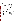Those PCR technologies that are designed to be field portable will be tested outside of the laboratory by an experienced operator. Because many of the contaminants being tested are highly toxic and unsafe to be handled outside of a special facility, method blank samples and non-toxic positive and negative control samples as provided by the vendor will be analyzed in the field portability test. Unconcentrated drinking water samples will also be tested to simulate real-world applications. Because these technologies are meant to be used by first-responders, their performance in the field will also be evaluated under simulated first response conditions by having the operator dressed in Level C PPE. One set of MB samples will be tested without the use of a protective suit.

# **2.4 Reference Method**

For all contaminants, a plate enumeration technique of quantifying bacteria will be followed to confirm the concentration of the stock solution of these contaminants. If necessary, aliquots of the organism to be used for testing may be frozen during the plate enumeration process to ensure that the proper solution concentration is being tested and prevent the organism from multiplying during storage while awaiting the results of the confirmation analysis. For anthrax and plague plate enumeration, the Battelle standard operating procedure (SOP) to be followed is SOP No: MREF X-054<sup>4</sup> "Standard Operating Procedure (SOP) for the Enumeration of BL-2 and BL-3 Bacteria Samples Via the Spread Plate Technique." For *E. coli*, *F. tularensis*, and *Brucella suis*, general laboratory practices for bacteria plate enumeration will be followed.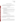# **3.0 MATERIALS AND EQUIPMENT**

In general, this verification test will rely on rapid PCR technology materials and equipment provided by the vendors. Battelle will provide the following equipment and materials for the collection, preparation, storage, and shipment of test samples.

## **3.1 Testing Supplies**

The following supplies will be needed throughout testing for sample collection and preparation of the DW and QC samples:

- C ASTM Type II DI water
- C Various laboratory supplies necessary for accurate preparation of the test samples (i.e., volumetric pipettes, pipette bulbs, Eppendorf micro pipettes/pipette tips, volumetric flasks, disposable pipettes, etc.)
- C Various smaller sizes of pre-cleaned HDPE and glass containers for sample aliquot storage
- C Standards of contaminant and interferents with a known level of purity (NIST traceable or equivalent)
- C Sodium thiosulfate pentahydrate
- C n,n-diethyl-p-phenylenediamine (DPD) tablet
- C Personal protective equipment.

#### **3.2 Field Analysis Supplies**

For the analysis of the method blank samples and unconcentrated, unspiked drinking water samples in the field, Battelle will provide the water used for analysis and the Level C personal protective equipment (PPE). The operators will depend on only supplies provided by the vendor to analyze the samples.

## **3.3 Special Facilities**

The contaminants to be evaluated in this verification test require special handling and/or special facilities. Plague, anthrax, and *Brucella suis* can only be handled in laboratories that are specially designed and certified for the use of chemical and biological agents and by operators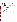who are trained in their use. Battelle's Medical Research and Evaluation Facility (MREF), which is a Department of Defense laboratory-scale facility conducting research with chemical and biological agents, will provide the facilities and staff for verification testing of plague, anthrax, and *Brucella suis*. The MREF is licensed to ship, receive, and handle select agents, as defined by the Centers for Disease Control and Prevention (CDC)<sup>5</sup>. The facility maintains state-of-the-art equipment and professional and technical staffing trained to safely conduct testing and evaluation of hazardous chemical and biological materials.

The MREF and its personnel have the demonstrated capability for storing and safely handling plague, anthrax, and *Brucella suis*. Biological agent use will be according to the CDC Select Agents Program  $(32 \text{ CFR } 626 \text{ and } 627)^5$  administered through the Biological Defense Safety Program and the Battelle MREF Facility Safety Plan. All PCR technologies used in this building will have to go through a decontamination process involving hydrogen peroxide vapor spray to eliminate the possibility of any anthrax or plague remaining on or in the instrument. The decontamination step has previously been used on computers and other sensitive electronic equipment without harm to the technology.

*E. coli* and *F. tularensis* are not required to be used in a specially designed facility as are anthrax, plague, and *Brucella suis,* but they do require special handling, thus testing of these bacteria will take place in qualified laboratories in either the Battelle Columbus Operations or MREF facilities.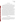#### **4.0 PROCEDURES**

#### **4.1 Test Sample Collection, Preparation, and Storage**

Stock solutions of each contaminant and interferent will be prepared in ASTM Type II DI water or appropriate reagent from certified standards. The concentration of all stock solutions will be confirmed using a plate enumeration method. If possible, solutions will be prepared on a daily basis for all bacteria. However, because the concentration of some organisms can change over the course of a day, aliquots of the solution to be used for spiking the samples may be prepared and frozen while the confirmation analyses are performed. Samples confirmed to contain adequate levels of the organism would then be thawed and used as needed.

PT samples will be prepared in ASTM Type II DI water using the aforementioned stock solutions. Aliquots of each stock solution will be diluted to the appropriate concentration using volumetric pipettes and glassware. The DW samples were collected as described in Section 2.3.2. Because free chlorine will degrade many of the contaminants and interferences during storage, the samples were immediately dechlorinated with sodium thiosulfate pentahydrate (or other dechlorination reagents as per vendor protocol). The dechlorination of the DW was qualitatively confirmed by adding a diethyl-p-phenylene diamine (DPD) tablet to an aliquot of DW. If the water did not turn pink, the dechlorination process was determined to be successful. If the water did turn pink, additional dechlorinating reagent was added and the dechlorination confirmation procedure was repeated. Once dechlorination was confirmed, 100 L of each DW sample was concentrated as described previously, and approximately 25 L remained unconcentrated. The dechlorinated concentrated DW samples will be analyzed unspiked and spiked. Aliquots of each bacteria stock solution will be diluted with DW samples to the appropriate concentration. All spiked DW samples will go through the appropriate vendor-specified DNA preparation/isolation procedure on the same day as they are spiked.

#### **4.2 Sample Identification**

Aliquots to be analyzed by each rapid PCR technology will be drawn from the PT, QC or DW samples and placed in sample containers with unique identification (ID) numbers. A master log of the samples and sample ID numbers for each rapid PCR technology will be maintained by Battelle. The ID number, date, person collecting, sample location, and time of collection was recorded on a chain-of-custody form for all field samples.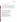#### **4.3 Sample Analysis**

#### **4.3.1 Drinking Water Characterization**

Table 3 lists the methods used to characterize the DW samples collected from the various water sources by the subcontract laboratory. An aliquot of each DW sample was sent to Aqua Tech Environmental Laboratory prior to concentration to determine the water quality parameters listed in Table 3. Because the water samples were collected and then transported and tested at later dates, some of the water quality parameters may have changed slightly prior to testing with the rapid PCR technologies. Information produced on physio-chemical parameters of drinking water by the subcontract laboratory will be utilized for verifying performance of the rapid PCR technologies.

| <b>Parameter</b>      | <b>Method</b>           | <b>Method Detection</b><br>Limits <sup>(b)</sup> |  |
|-----------------------|-------------------------|--------------------------------------------------|--|
| Turbidity             | EPA 180.1 <sup>6</sup>  | $0.067$ ntu                                      |  |
| Organic carbon        | SM 53107                | $0.7 \text{ mg/L}$                               |  |
| Specific conductivity | SM 25107                | $2 \mu m$ ho                                     |  |
| Alkalinity            | SM 23207                | $2 \text{ mg/L}$                                 |  |
| pH                    | EPA 150.1 <sup>8</sup>  | <b>NA</b>                                        |  |
| Hardness              | EPA 130.2 <sup>8</sup>  | $5 \text{ mg/L}$                                 |  |
| Total organic halides | SM 5320 <sup>7</sup>    | $5 \mu g/L$                                      |  |
| Trihalomethanes       | EPA 524.2 <sup>9</sup>  | $0.5 \mu g/L$ /analyte                           |  |
| Haloacetic acids      | EPA 552.2 <sup>10</sup> | $1.0 \mu g/L$ /analyte                           |  |

**Table 3. Physio-Chemical Characterization of Drinking Watera** 

(a) Physio-chemical DW characterization to be performed by the subcontract laboratory (b) Method detection limits based on standard methods.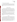#### **4.3.2 Stock Solution Confirmatory Methodologies**

The concentration of all contaminants will be confirmed by a plate enumeration method following Battelle SOP No.: MERF X-054 and Battelle general laboratory practices for plate enumeration. For the interferent samples, the concentration of humic and fulvic acid will be confirmed by Standard Method  $5310<sup>7</sup>$  for total and dissolved organic carbon by the subcontract laboratory.

#### **4.4 Rapid PCR Technologies**

Each vendor will provide rapid PCR technologies, consumables (e.g., reagents and controls), and other necessary equipment (e.g. DNA extraction and purification reagents and/or equipment) for the analysis of all samples. The full set of samples listed in Table 2, unless otherwise noted, will be analyzed by each rapid PCR technology for each applicable contaminant. The analyses will be performed according to the vendor's recommended procedures as described in the standard written instructions or manual provided with the rapid PCR technologies. Calibration and maintenance of the rapid PCR technologies will be performed as specified in the written instructions or manual.

Rapid PCR technology results will be recorded manually by the operators on data sheets designed specifically for this verification test. Where applicable, electronic results from the supplied technology software will also be coded and stored. In addition to the rapid PCR technology results, the data sheets will include records of the time required for sample analysis and the operator observations concerning the use of the rapid PCR technology (e.g., ease of use, maintenance, etc.).

#### **4.5 Schedule**

The verification test described here will take place during approximately four to seven weeks in late May - July 2004 at Battelle's laboratories in West Jefferson and Columbus, Ohio, and at a nearby non-laboratory location. It will be necessary for participating vendors to provide their rapid PCR technologies to Battelle prior to testing so staff may become familiar with operating the rapid PCR technologies before testing begins. Vendor staff are requested to provide training in operating the rapid PCR technologies either in person or by teleconference. Unused rapid PCR technologies and associated equipment will be returned to the vendors at the completion of report writing. As appropriate, rapid PCR technologies will be decontaminated by being exposed to a vapor of hydrogen peroxide before being returned to the vendor.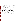#### **5.0 DATA HANDLING AND REPORTING**

#### **5.1 Data Acquisition and Review**

Various types of data will be acquired and recorded electronically or manually by Battelle during this verification test. Table 4 summarizes the type of data to be recorded. All data and observations will be documented by Battelle staff on data sheets or in laboratory record books. Results from the reference methods will be compiled in written or electronic format.

Records received by or generated by Battelle staff in the verification test will be reviewed by a another Battelle staff member within two weeks of receipt or generation, respectively, before the records are used to calculate, evaluate, or report verification results. This review will be performed by a Battelle technical staff member involved in the verification test, but not the staff member that originally received or generated the record. The review will be documented by the person performing the review by adding his/her initials and date to a hard copy of the record being reviewed. This hard copy will then be returned to the Battelle staff member who will be storing the record. In addition, data calculations performed by Battelle will be spot-checked by Battelle technical staff to ensure that calculations are performed correctly. Calculations to be checked include any statistical calculations described in this test/QA plan. The data obtained from this verification test will be compiled and reported independently for each rapid PCR technology. The Verification Report prepared and provided to the vendor will address only the vendor's technology submitted for performance verification (not other technologies submitted by other vendors that might also have been verified under the ETV program).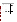| Data to Be<br><b>Recorded</b>                                                                                                             | <b>Where Recorded</b>                                                | <b>How Often Recorded</b>                                       | <b>Disposition of Data</b> <sup>(a)</sup>                                                                   |
|-------------------------------------------------------------------------------------------------------------------------------------------|----------------------------------------------------------------------|-----------------------------------------------------------------|-------------------------------------------------------------------------------------------------------------|
| Dates and times of<br>test events                                                                                                         | ETV data sheets                                                      | Start/end of test, and<br>at each change of a<br>test parameter | Used to<br>organize/check test<br>results; manually<br>incorporated in data<br>spreadsheets as<br>necessary |
| Calibration<br>information and<br>results for physico-<br>chemical<br>parameters<br>(temperature,<br>salinity, pH,<br>conductivity, etc.) | ETV data sheets                                                      | Prior to sample<br>preparation                                  | Manually incorporated<br>in data spreadsheets as<br>necessary                                               |
| Sample collection<br>and preparation<br>information,<br>including chain-of-<br>custody                                                    | ETV data sheets<br>and chain-of-<br>custody forms                    | At time of sample<br>collection and<br>preparation              | Used to<br>organize/check test<br>results; manually<br>incorporated in data<br>spreadsheets as<br>necessary |
| Rapid PCR<br>technology<br>procedures and<br>sample results                                                                               | ETV data sheets                                                      | Throughout test<br>duration                                     | Manually incorporated<br>in data spreadsheets                                                               |
| Reference method<br>procedures and<br>sample results                                                                                      | ETV data sheets,<br>or data acquisition<br>system, as<br>appropriate | Throughout sample<br>analysis process                           | Transferred to<br>spreadsheets                                                                              |

#### **Table 4. Summary of Data Recording Process**

(a) All activities subsequent to data recording are carried out by Battelle.

#### **5.2 Data Analysis**

The technologies participating in this verification test will only be evaluated for qualitative results (i.e., yes/no responses to samples) based on the expected application of these technologies as rapid screening tools. All data analyses will be based on these qualitative results.

#### **5.2.1 Accuracy**

The accuracy will be assessed by evaluating how often the rapid PCR technology result is positive in the presence of a concentration above the LOD. An overall percent agreement will be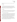determined by dividing the number of positive responses to the overall number of analyses of spiked samples.

#### **5.2.2 Precision**

Precision measures the repeatability and reproducibility of PCR technology responses. The precision of the four replicates of each sample set will be assessed. Responses will be considered inconsistent if one or more of the four replicates differs from the response of the other samples in the replicate set. The overall precision for each rapid PCR technology will be assessed by calculating the overall number of consistent responses of all the sample sets.

#### **5.2.3 Specificity**

The specificity will assess the rapid PCR technology's ability to detect the absence of the contaminant when it is truly absent. An overall specificity rate will be determined by dividing the number of negative responses by the total number of unspiked samples or method blanks.

#### **5.2.4 False Positive/False Negative Responses**

A false positive response will be defined as a detectable or positive rapid PCR technology response when the ASTM DI water, including interferent samples, or drinking water sample is not spiked at all. Because most of the contaminants being tested can occur naturally in water, and because rapid PCR technologies cannot distinguish between live and dead organisms, each DW sample will be plate enumerated to verify the presence or absence of the contaminant of interest. A false positive rate will be reported as the frequency of false positive results out of the total number of unspiked samples or method blanks, as in the specificity calculation.

A false negative response is defined as a non-detectable response or negative response when the sample was spiked with a contaminant at a concentration greater than the LOD. Reagent blanks, PT (contaminant and interferent) samples, and DW samples will be included in the analysis. A false negative rate will be evaluated as the frequency of false negative results out of the total number of spiked samples for a particular contaminant.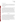#### **5.2.5 Matrix Interferences**

The potential effect of the DW matrix on the rapid PCR technology performance will be evaluated qualitatively by comparing the results for the spiked and unspiked DW samples to those for the PT samples. The results indicating the correct or incorrect reporting of the presence of a contaminant will be evaluated.

#### **5.2.6 Field Portability**

The results obtained from the measurements made on samples in the laboratory and field setting will be compiled independently for each rapid PCR technology that is designated as being field portable and assessed for comparability of the measurements under the different environmental conditions. The results obtained from unspiked, unconcentrated drinking water samples in the field will also be evaluated. Also, qualitative observations of each technology's performance in a non-laboratory setting will be made by the Verification Test Coordinator and operators. Factors such as the ease of transport and set-up, demand for electrical power, and space requirement will be documented and discussed in the report. Dexterity issues and ease of use will also be evaluated under a first-responder scenario where the operator will test samples in a Level C PPE. These results will be compared to field portability tests done without the use of a protective suit.

#### **5.3 Reporting**

The data obtained in the verification test will be compiled separately for each rapid PCR technology, and the data evaluation methods described in Section 5.2 will be applied to each data set without comparison to any other rapid PCR technology. Following completion of the data evaluation, a draft verification report will be prepared for each rapid PCR technology. The verification report will individually address each rapid PCR technology submitted for performance verification, not other technologies submitted for verification under the same test. The verification report will describe the verification test procedures and document the results. Each draft verification report will be submitted to the corresponding vendor for review and comment. Each draft report will be revised in response to the comments provided by the vendor. The revised reports will be submitted for external peer review, revised again to address the peer review comments, and submitted to EPA for final approval.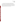A verification statement will also be prepared for each rapid PCR technology. The verification statement is a two to four page summary of the rapid PCR technology, test procedures, and results. The verification statement will follow the same review and revision process as the verification reports. Upon final approval by EPA, each verification statement will be signed by a senior Battelle manager and an EPA laboratory director. Final verification reports and statements are expected to be posted on the ETV website (http://www.epa.gov/etv), and original signed verification statements will be provided to the vendor.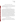# **6.0 QUALITY ASSURANCE /QUALITY CONTROL**

The QA/QC activities associated with this verification test will focus primarily on sample preparation and handling, data recording and analysis, and reference laboratory analysis. An independent audit covering each of these areas will be performed by the Battelle Quality Manager to ensure the quality of the verification test.

#### **6.1 Sample Chain-of-Custody Procedures**

Sample custody was documented throughout collection, shipping, and analysis of the samples from the water utility to Battelle laboratories. Similar documentation will be recorded for shipping and analysis of samples to the subcontract laboratories. Sample chain-of-custody procedures will be in accordance with the Battelle SOP ASAT II-007<sup>11</sup>, *Sample Chain-of-Custody for Dioxin/Furan Analysis.* The chain-of-custody form summarizes the samples collected and analyses requested. The chain-of-custody form will track sample release from the field to the Battelle laboratory, and from the Battelle laboratory to the subcontract laboratory. Each chain-ofcustody form will be signed by the person relinquishing samples once that person has verified that the chain-of-custody form is accurate. The original sample chain-of-custody forms accompany the samples; the shipper will keep a copy. Upon receipt at the sample destination, chain-ofcustody forms will be signed by the person receiving the samples once that person has verified that all samples identified on the chain-of-custody forms are present in the shipping container. Any discrepancies will be noted on the form and the sample receiver will immediately contact the Verification Test Coordinator to report missing, broken, or compromised samples. The recipient will retain a copy of the form while the original chain-of-custody form will be sent back to the Verification Test Coordinator for storage in the study file.

#### **6.2 Rapid PCR Technology Calibration**

Prior to analysis, the Verification Test Coordinator will identify which rapid PCR technologies require calibration. All such rapid PCR technologies will be calibrated according to vendor directed procedures. Other equipment provided by the vendor will be calibrated based on vendor requirements.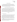#### **6.3 Equipment Calibration**

 For physio-chemical characterization, analytical equipment was calibrated by the subcontract laboratory according to the procedure specified in the standard method. Similar calibration will be performed for interferent conformation. Pipettes will be calibrated according to the procedure outlined in Battelle SOP No: VI-025<sup>12</sup>. Pipettes will be calibrated semiannually and the calibration service will provide a calibration certificate.

#### **6.4 QC of Stock Solutions Preparation and DW Characterization**

Battelle QA staff will provide oversight of the stock solution preparation for all contaminants. The concentration of the stock solutions of all contaminants will be confirmed by the plate enumeration method. Additionally, each unspiked DW sample will be analyzed by this method to confirm the absence of these bacteria. Method blanks and control spikes will be analyzed by the subcontract laboratory performing confirmation analysis on the humic and fulvic acid samples and water quality parameters. Method blanks and control spikes will be analyzed with every batch of samples processed. Method blank and control spikes of interferences will be analyzed in accordance with standard methods and QC limits specified therein.

#### **6.5 Audits**

#### **6.5.1 Technical Systems Audit**

The Battelle Quality Manager will conduct a technical systems audit at least once during the course of the verification test. The purpose of this audit is to ensure that the verification test is being performed in accordance with this test/ $QA$  plan and the AMS  $QMP<sup>1</sup>$ , and that all procedures described in this test/QA plan are being followed. This audit will review the standards and methods used, compare actual test procedures to those specified in this test/QA plan, and review data acquisition and handling procedures. An independent technical systems audit may also be performed by EPA Quality Management staff during the verification test at EPA's discretion.

Before using an outside laboratory to perform stock solution confirmation analyses, the Battelle Quality Manager conducts an audit of the laboratory's quality documents. The subcontract laboratory for this test has already been audited and has been deemed qualified to conduct confirmatory analyses as specified previously.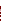#### **6.5.2 Data Quality Audit**

At least 10% percent of the data acquired during the verification test will be audited during the verification test. Battelle's Quality Manager will trace the data from its initial acquisition, through reduction and statistical analysis, to final reporting, to ensure the integrity of the reported results. All calculations performed on the data undergoing the audit will be checked.

#### **6.6 QA/QC Reporting**

Each assessment and audit will be documented in accordance with Section 3.3.4 of the AMS QMP<sup>1</sup>. The results of the technical systems audit will be submitted to EPA. Assessment reports will include the following:

- C Identification of any adverse findings or potential problems
- C Response to adverse findings or potential problems
- C Recommendations for resolving problems
- C Confirmation that solutions have been implemented and are effective
- C Citation of any noteworthy practices that may be of use to others.

#### **6.7 Corrective Action**

During the course of any assessment or audit, the Battelle Quality Manager will inform the technical staff of any immediate corrective action that should be taken. If serious quality problems exist, the Battelle Quality Manager is authorized to stop work. Once the assessment report has been prepared, the Verification Test Coordinator will ensure that a response is provided for each adverse finding or potential problem, and will implement any necessary follow-up corrective action. The Battelle Quality Manager will ensure that follow-up corrective action has been taken.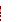# **7.0 HEALTH AND SAFETY**

# **7.1 Standard/Test Sample Preparation**

All handling of solid and highly concentrated aqueous solutions of contaminants and possible interferences will be done inside of a laboratory hood with hood sash set to the lowest height that still allows for safe manipulation of materials. The following guidelines should be adhered to:

- Personal protective equipment shall include safety glasses with side shields, a laboratory coat, and nitrile lab gloves. Gloves shall be immediately changed if they become contaminated.
- All contaminated waste shall be handled as hazardous waste and disposed of according to facility regulations.

# **7.2 Handling During Verification Testing**

Laboratory and field handling of any solutions used during the verification test will be accomplished by taking the following precautions:

- All containers shall be stored and transported in double containment.
- Safety goggles, nitrile gloves with long cuffs, and a chemical resistant disposable lab coat shall be worn when handling all chemicals. Gloves shall be immediately changed if they become contaminated.

# **7.3 Testing of Anthrax,** *E. coli***,** *F. tularensis***,** *Brucella suis***, and Plague**

Use of these contaminants in the verification of rapid PCR technologies will be done following the safety procedures required at the MREF facility as noted in Section 3.3 and Battelle Columbus Operation facilities.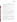# **8.0 REFERENCES**

- 1. Quality Management Plan (QMP) for the ETV Advanced Monitoring Systems Center, Version 5.0. EPA Environmental Technology Verification Program, prepared by Battelle, Columbus, Ohio, March, 2004.
- 2. Environmental Technology Verification Program Quality Management Plan, December 2002 (EPA/600/R-03/021).
- 3. Burrows, W. D.; Renner, S. E. Biological Warfare Agents as Threats to Potable Water, *Environmental Health Perspectives*, 107, 975-984, 1999.
- 4. Battelle MREF X-054. Enumeration of BL-2 and BL-3 Bacterial Samples via the Spread Plate Technique. July 2003.
- 5. Code of Federal Regulations, Title 32, Chapter 5, Part 626, Biological Defense Safety Program and Part 627, Biological Defense Safety Program, Technical Safety Requirements.
- 6. EPA/600/R-93-100. EPA Method 180.1. Turbidity (Nephelometric), Methods for the Determination of Inorganic Substances in Environmental Samples. 1993.
- 7. American Public Health Association, et al. Standard Methods for Examination of Water and Wastewater. 19<sup>th</sup> Edition. 1997. Washington D.C.
- 8. EPA/600/4-79-020. Methods for Chemical Analysis of Water and Wastes. March 1983.
- 9. EPA/600/R-95-131. EPA Method 524.2. Purgeable Organic Compounds by Capillary Column GC/Mass Spectrometry. Methods for the Determination of Organic Compounds in Drinking Water, Supplement III. August 1995.
- 10. EPA/600/R-95-131. EPA Method 552.2. Haloacetic Acids and Dalapon by Liquid-Liquid Extraction, Derivatization and GC with Electron Capture Detector. Methods for the Determination of Organic Compounds in Drinking Water, Supplement III. August 1995.